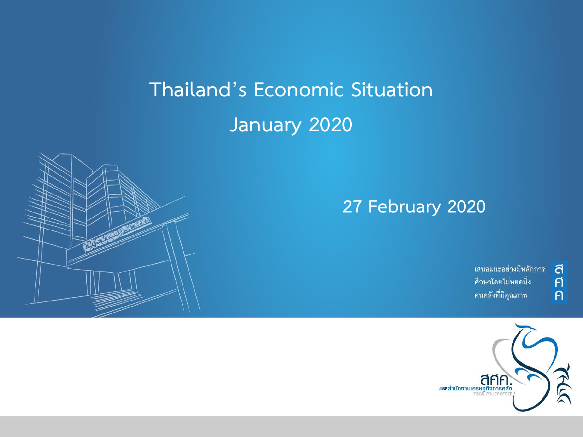# **Thailand's Economic Situation January 2020**



้เสนอแนะอย่างมีหลักการ ศึกษาโดยไม่หยุดนิ่ง คนคลังที่มีคุณภาพ

 $\overline{a}$  $\overline{p}$ 

 $\overline{P}$ 

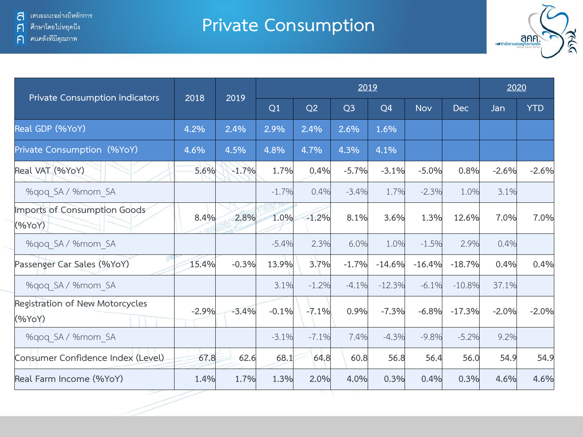#### **Private Consumption**



| <b>Private Consumption indicators</b>     | 2018    | 2019    |         | 2020    |                |          |            |            |         |            |
|-------------------------------------------|---------|---------|---------|---------|----------------|----------|------------|------------|---------|------------|
|                                           |         |         | Q1      | Q2      | Q <sub>3</sub> | Q4       | <b>Nov</b> | <b>Dec</b> | Jan     | <b>YTD</b> |
| Real GDP (%YoY)                           | 4.2%    | 2.4%    | 2.9%    | 2.4%    | 2.6%           | 1.6%     |            |            |         |            |
| Private Consumption (%YoY)                | 4.6%    | 4.5%    | 4.8%    | 4.7%    | 4.3%           | 4.1%     |            |            |         |            |
| Real VAT (%YoY)                           | 5.6%    | $-1.7%$ | 1.7%    | 0.4%    | $-5.7%$        | $-3.1%$  | $-5.0%$    | 0.8%       | $-2.6%$ | $-2.6%$    |
| %gog SA / %mom SA                         |         |         | $-1.7%$ | 0.4%    | $-3.4%$        | 1.7%     | $-2.3%$    | 1.0%       | 3.1%    |            |
| Imports of Consumption Goods<br>(%YoY)    | 8.4%    | 2.8%    | 1.0%    | $-1.2%$ | 8.1%           | 3.6%     | 1.3%       | 12.6%      | 7.0%    | 7.0%       |
| %gog SA / %mom SA                         |         |         | $-5.4%$ | 2.3%    | 6.0%           | 1.0%     | $-1.5%$    | 2.9%       | 0.4%    |            |
| Passenger Car Sales (%YoY)                | 15.4%   | $-0.3%$ | 13.9%   | 3.7%    | $-1.7%$        | $-14.6%$ | $-16.4%$   | $-18.7%$   | 0.4%    | 0.4%       |
| %gog SA / %mom SA                         |         |         | 3.1%    | $-1.2%$ | $-4.1%$        | $-12.3%$ | $-6.1%$    | $-10.8%$   | 37.1%   |            |
| Registration of New Motorcycles<br>(%YoY) | $-2.9%$ | $-3.4%$ | $-0.1%$ | $-7.1%$ | 0.9%           | $-7.3%$  | $-6.8%$    | $-17.3%$   | $-2.0%$ | $-2.0%$    |
| %gog SA / %mom SA                         |         |         | $-3.1%$ | $-7.1%$ | 7.4%           | $-4.3%$  | $-9.8%$    | $-5.2%$    | 9.2%    |            |
| Consumer Confidence Index (Level)         | 67.8    | 62.6    | 68.1    | 64.8    | 60.8           | 56.8     | 56.4       | 56.0       | 54.9    | 54.9       |
| Real Farm Income (%YoY)                   | 1.4%    | 1.7%    | 1.3%    | 2.0%    | 4.0%           | 0.3%     | 0.4%       | 0.3%       | 4.6%    | 4.6%       |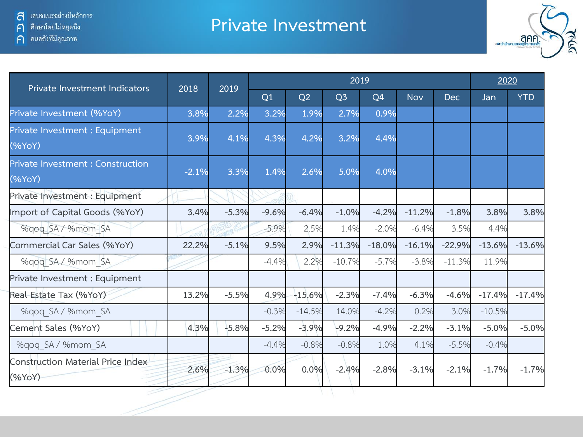ค คนคลังที่มีคุณภาพ

#### **Private Investment**



| Private Investment Indicators                      | 2018    | 2019    | 2019    |          |                |                |            |            |          | 2020       |  |
|----------------------------------------------------|---------|---------|---------|----------|----------------|----------------|------------|------------|----------|------------|--|
|                                                    |         |         | Q1      | Q2       | Q <sub>3</sub> | Q <sub>4</sub> | <b>Nov</b> | <b>Dec</b> | Jan      | <b>YTD</b> |  |
| Private Investment (%YoY)                          | 3.8%    | 2.2%    | 3.2%    | 1.9%     | 2.7%           | 0.9%           |            |            |          |            |  |
| Private Investment : Equipment<br>(%YoY)           | 3.9%    | 4.1%    | 4.3%    | 4.2%     | 3.2%           | 4.4%           |            |            |          |            |  |
| <b>Private Investment: Construction</b><br>(%YoY)  | $-2.1%$ | 3.3%    | 1.4%    | 2.6%     | 5.0%           | 4.0%           |            |            |          |            |  |
| Private Investment : Equipment                     |         |         |         |          |                |                |            |            |          |            |  |
| Import of Capital Goods (%YoY)                     | 3.4%    | $-5.3%$ | $-9.6%$ | $-6.4%$  | $-1.0%$        | $-4.2%$        | $-11.2%$   | $-1.8%$    | 3.8%     | 3.8%       |  |
| %gog SA / %mom SA                                  |         |         | $-5.9%$ | 2.5%     | 1.4%           | $-2.0%$        | $-6.4%$    | 3.5%       | 4.4%     |            |  |
| Commercial Car Sales (%YoY)                        | 22.2%   | $-5.1%$ | 9.5%    | 2.9%     | $-11.3%$       | $-18.0%$       | $-16.1%$   | $-22.9%$   | $-13.6%$ | $-13.6%$   |  |
| %qoq SA / %mom SA                                  |         |         | $-4.4%$ | 2.2%     | $-10.7%$       | $-5.7%$        | $-3.8%$    | $-11.3%$   | 11.9%    |            |  |
| Private Investment : Equipment                     |         |         |         |          |                |                |            |            |          |            |  |
| Real Estate Tax (%YoY)                             | 13.2%   | $-5.5%$ | 4.9%    | $-15.6%$ | $-2.3%$        | $-7.4%$        | $-6.3%$    | $-4.6%$    | $-17.4%$ | $-17.4%$   |  |
| %gog SA / %mom SA                                  |         |         | $-0.3%$ | $-14.5%$ | 14.0%          | $-4.2%$        | 0.2%       | 3.0%       | $-10.5%$ |            |  |
| Cement Sales (%YoY)                                | 4.3%    | $-5.8%$ | $-5.2%$ | $-3.9%$  | $-9.2%$        | $-4.9%$        | $-2.2%$    | $-3.1%$    | $-5.0%$  | $-5.0%$    |  |
| %qoq SA / %mom SA                                  |         |         | $-4.4%$ | $-0.8%$  | $-0.8%$        | 1.0%           | 4.1%       | $-5.5%$    | $-0.4%$  |            |  |
| <b>Construction Material Price Index</b><br>(%YoY) | 2.6%    | $-1.3%$ | 0.0%    | 0.0%     | $-2.4%$        | $-2.8%$        | $-3.1%$    | $-2.1%$    | $-1.7%$  | $-1.7%$    |  |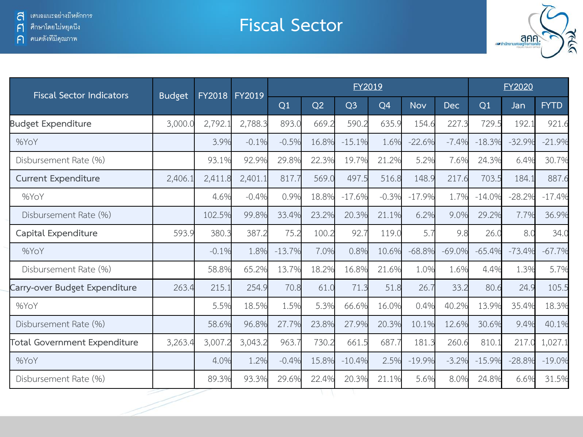**Fiscal Sector**



| <b>Fiscal Sector Indicators</b>     | <b>Budget</b> | FY2018  | FY2019  |          |       | FY2019         |         | FY2020     |            |          |          |             |
|-------------------------------------|---------------|---------|---------|----------|-------|----------------|---------|------------|------------|----------|----------|-------------|
|                                     |               |         |         | Q1       | Q2    | Q <sub>3</sub> | Q4      | <b>Nov</b> | <b>Dec</b> | Q1       | Jan      | <b>FYTD</b> |
| <b>Budget Expenditure</b>           | 3,000.0       | 2,792.1 | 2,788.3 | 893.0    | 669.2 | 590.2          | 635.9   | 154.6      | 227.3      | 729.5    | 192.1    | 921.6       |
| %YoY                                |               | 3.9%    | $-0.1%$ | $-0.5%$  | 16.8% | $-15.1%$       | 1.6%    | $-22.6%$   | $-7.4%$    | $-18.3%$ | $-32.9%$ | $-21.9%$    |
| Disbursement Rate (%)               |               | 93.1%   | 92.9%   | 29.8%    | 22.3% | 19.7%          | 21.2%   | 5.2%       | 7.6%       | 24.3%    | 6.4%     | 30.7%       |
| <b>Current Expenditure</b>          | 2,406.1       | 2,411.8 | 2,401.1 | 817.7    | 569.0 | 497.5          | 516.8   | 148.9      | 217.6      | 703.5    | 184.1    | 887.6       |
| %YoY                                |               | 4.6%    | $-0.4%$ | 0.9%     | 18.8% | $-17.6%$       | $-0.3%$ | $-17.9%$   | 1.7%       | $-14.0%$ | $-28.2%$ | $-17.4%$    |
| Disbursement Rate (%)               |               | 102.5%  | 99.8%   | 33.4%    | 23.2% | 20.3%          | 21.1%   | 6.2%       | 9.0%       | 29.2%    | 7.7%     | 36.9%       |
| Capital Expenditure                 | 593.9         | 380.3   | 387.2   | 75.2     | 100.2 | 92.7           | 119.0   | 5.7        | 9.8        | 26.0     | 8.0      | 34.0        |
| %YoY                                |               | $-0.1%$ | 1.8%    | $-13.7%$ | 7.0%  | 0.8%           | 10.6%   | $-68.8%$   | $-69.0%$   | $-65.4%$ | $-73.4%$ | $-67.7%$    |
| Disbursement Rate (%)               |               | 58.8%   | 65.2%   | 13.7%    | 18.2% | 16.8%          | 21.6%   | 1.0%       | 1.6%       | 4.4%     | 1.3%     | 5.7%        |
| Carry-over Budget Expenditure       | 263.4         | 215.1   | 254.9   | 70.8     | 61.0  | 71.3           | 51.8    | 26.7       | 33.2       | 80.6     | 24.9     | 105.5       |
| %YoY                                |               | 5.5%    | 18.5%   | 1.5%     | 5.3%  | 66.6%          | 16.0%   | 0.4%       | 40.2%      | 13.9%    | 35.4%    | 18.3%       |
| Disbursement Rate (%)               |               | 58.6%   | 96.8%   | 27.7%    | 23.8% | 27.9%          | 20.3%   | 10.1%      | 12.6%      | 30.6%    | 9.4%     | 40.1%       |
| <b>Total Government Expenditure</b> | 3,263.4       | 3,007.2 | 3,043.2 | 963.7    | 730.2 | 661.5          | 687.7   | 181.3      | 260.6      | 810.1    | 217.0    | 1,027.1     |
| %YoY                                |               | 4.0%    | 1.2%    | $-0.4%$  | 15.8% | $-10.4%$       | 2.5%    | $-19.9%$   | $-3.2%$    | $-15.9%$ | $-28.8%$ | $-19.0%$    |
| Disbursement Rate (%)               |               | 89.3%   | 93.3%   | 29.6%    | 22.4% | 20.3%          | 21.1%   | 5.6%       | 8.0%       | 24.8%    | 6.6%     | 31.5%       |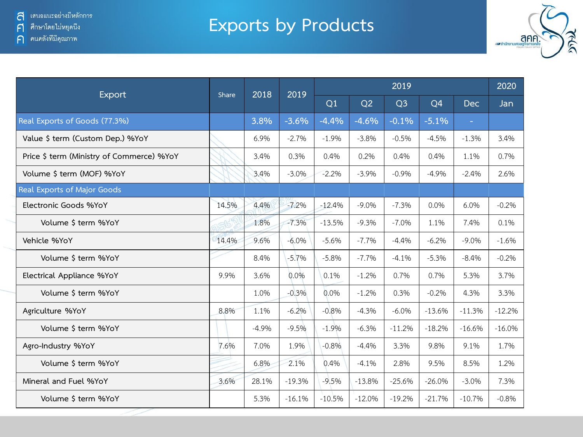## **Exports by Products**



|                                           | <b>Share</b> | 2018    | 2019     |          | 2020     |                |                |                |          |
|-------------------------------------------|--------------|---------|----------|----------|----------|----------------|----------------|----------------|----------|
| <b>Export</b>                             |              |         |          | Q1       | Q2       | Q <sub>3</sub> | Q <sub>4</sub> | <b>Dec</b>     | Jan      |
| Real Exports of Goods (77.3%)             |              | 3.8%    | $-3.6%$  | $-4.4%$  | $-4.6%$  | $-0.1%$        | $-5.1%$        | $\blacksquare$ |          |
| Value \$ term (Custom Dep.) %YoY          |              | 6.9%    | $-2.7%$  | $-1.9%$  | $-3.8%$  | $-0.5%$        | $-4.5%$        | $-1.3%$        | 3.4%     |
| Price \$ term (Ministry of Commerce) %YoY |              | 3.4%    | 0.3%     | 0.4%     | 0.2%     | $0.4\%$        | 0.4%           | 1.1%           | 0.7%     |
| Volume \$ term (MOF) %YoY                 |              | 3.4%    | $-3.0%$  | $-2.2%$  | $-3.9%$  | $-0.9%$        | $-4.9%$        | $-2.4%$        | 2.6%     |
| Real Exports of Major Goods               |              |         |          |          |          |                |                |                |          |
| Electronic Goods %YoY                     | 14.5%        | 4.4%    | $-7.2%$  | $-12.4%$ | $-9.0\%$ | $-7.3%$        | 0.0%           | 6.0%           | $-0.2%$  |
| Volume \$ term %YoY                       |              | 1.8%    | $-7.3%$  | $-13.5%$ | $-9.3%$  | $-7.0%$        | 1.1%           | 7.4%           | 0.1%     |
| Vehicle %YoY                              | 14.4%        | 9.6%    | $-6.0%$  | $-5.6%$  | $-7.7%$  | $-4.4%$        | $-6.2%$        | $-9.0%$        | $-1.6%$  |
| Volume \$ term %YoY                       |              | 8.4%    | $-5.7%$  | $-5.8%$  | $-7.7%$  | $-4.1%$        | $-5.3%$        | $-8.4%$        | $-0.2%$  |
| Electrical Appliance %YoY                 | 9.9%         | 3.6%    | 0.0%     | 0.1%     | $-1.2%$  | 0.7%           | 0.7%           | 5.3%           | 3.7%     |
| Volume \$ term %YoY                       |              | 1.0%    | $-0.3%$  | 0.0%     | $-1.2%$  | 0.3%           | $-0.2%$        | 4.3%           | 3.3%     |
| Agriculture %YoY                          | 8.8%         | 1.1%    | $-6.2%$  | $-0.8%$  | $-4.3%$  | $-6.0\%$       | $-13.6%$       | $-11.3%$       | $-12.2%$ |
| Volume \$ term %YoY                       |              | $-4.9%$ | $-9.5%$  | $-1.9%$  | $-6.3%$  | $-11.2%$       | $-18.2%$       | $-16.6%$       | $-16.0%$ |
| Agro-Industry %YoY                        | 7.6%         | 7.0%    | 1.9%     | $-0.8%$  | $-4.4%$  | 3.3%           | 9.8%           | 9.1%           | 1.7%     |
| Volume \$ term %YoY                       |              | 6.8%    | 2.1%     | 0.4%     | $-4.1%$  | 2.8%           | 9.5%           | 8.5%           | 1.2%     |
| Mineral and Fuel %YoY                     | 3.6%         | 28.1%   | $-19.3%$ | $-9.5%$  | $-13.8%$ | $-25.6%$       | $-26.0%$       | $-3.0%$        | 7.3%     |
| Volume \$ term %YoY                       |              | 5.3%    | $-16.1%$ | $-10.5%$ | $-12.0%$ | $-19.2%$       | $-21.7%$       | $-10.7%$       | $-0.8%$  |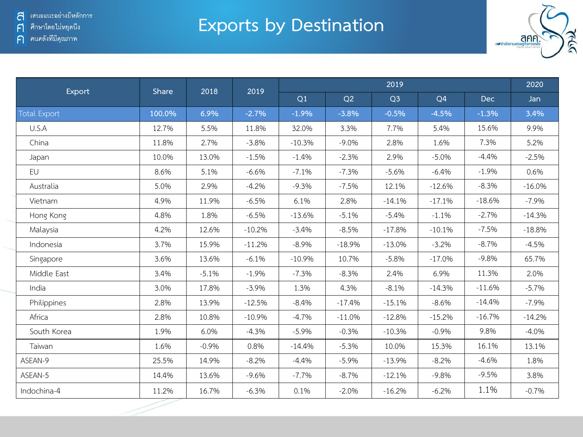### **Exports by Destination**



| Export<br>Share     |        | 2018    | 2019     |          | 2020     |                |                |            |          |
|---------------------|--------|---------|----------|----------|----------|----------------|----------------|------------|----------|
|                     |        |         |          | Q1       | Q2       | Q <sub>3</sub> | Q <sub>4</sub> | <b>Dec</b> | Jan      |
| <b>Total Export</b> | 100.0% | 6.9%    | $-2.7%$  | $-1.9%$  | $-3.8%$  | $-0.5%$        | $-4.5%$        | $-1.3%$    | 3.4%     |
| U.S.A               | 12.7%  | 5.5%    | 11.8%    | 32.0%    | 3.3%     | 7.7%           | 5.4%           | 15.6%      | 9.9%     |
| China               | 11.8%  | 2.7%    | $-3.8%$  | $-10.3%$ | $-9.0%$  | 2.8%           | 1.6%           | 7.3%       | 5.2%     |
| Japan               | 10.0%  | 13.0%   | $-1.5%$  | $-1.4%$  | $-2.3%$  | 2.9%           | $-5.0%$        | $-4.4%$    | $-2.5%$  |
| EU                  | 8.6%   | 5.1%    | $-6.6%$  | $-7.1%$  | $-7.3%$  | $-5.6%$        | $-6.4%$        | $-1.9%$    | 0.6%     |
| Australia           | 5.0%   | 2.9%    | $-4.2%$  | $-9.3%$  | $-7.5%$  | 12.1%          | $-12.6%$       | $-8.3%$    | $-16.0%$ |
| Vietnam             | 4.9%   | 11.9%   | $-6.5%$  | 6.1%     | 2.8%     | $-14.1%$       | $-17.1%$       | $-18.6%$   | $-7.9%$  |
| Hong Kong           | 4.8%   | 1.8%    | $-6.5%$  | $-13.6%$ | $-5.1%$  | $-5.4%$        | $-1.1%$        | $-2.7%$    | $-14.3%$ |
| Malaysia            | 4.2%   | 12.6%   | $-10.2%$ | $-3.4%$  | $-8.5%$  | $-17.8%$       | $-10.1%$       | $-7.5%$    | $-18.8%$ |
| Indonesia           | 3.7%   | 15.9%   | $-11.2%$ | $-8.9%$  | $-18.9%$ | $-13.0%$       | $-3.2%$        | $-8.7%$    | $-4.5%$  |
| Singapore           | 3.6%   | 13.6%   | $-6.1%$  | $-10.9%$ | 10.7%    | $-5.8%$        | $-17.0%$       | $-9.8%$    | 65.7%    |
| Middle East         | 3.4%   | $-5.1%$ | $-1.9%$  | $-7.3%$  | $-8.3%$  | 2.4%           | 6.9%           | 11.3%      | 2.0%     |
| India               | 3.0%   | 17.8%   | $-3.9%$  | 1.3%     | 4.3%     | $-8.1%$        | $-14.3%$       | $-11.6%$   | $-5.7%$  |
| Philippines         | 2.8%   | 13.9%   | $-12.5%$ | $-8.4%$  | $-17.4%$ | $-15.1%$       | $-8.6%$        | $-14.4%$   | $-7.9%$  |
| Africa              | 2.8%   | 10.8%   | $-10.9%$ | $-4.7%$  | $-11.0%$ | $-12.8%$       | $-15.2%$       | $-16.7%$   | $-14.2%$ |
| South Korea         | 1.9%   | 6.0%    | $-4.3%$  | $-5.9%$  | $-0.3%$  | $-10.3%$       | $-0.9%$        | 9.8%       | $-4.0%$  |
| Taiwan              | 1.6%   | $-0.9%$ | 0.8%     | $-14.4%$ | $-5.3%$  | 10.0%          | 15.3%          | 16.1%      | 13.1%    |
| ASEAN-9             | 25.5%  | 14.9%   | $-8.2%$  | $-4.4%$  | $-5.9%$  | $-13.9%$       | $-8.2%$        | $-4.6%$    | 1.8%     |
| ASEAN-5             | 14.4%  | 13.6%   | $-9.6%$  | $-7.7%$  | $-8.7%$  | $-12.1%$       | $-9.8%$        | $-9.5%$    | 3.8%     |
| Indochina-4         | 11.2%  | 16.7%   | $-6.3%$  | 0.1%     | $-2.0%$  | $-16.2%$       | $-6.2%$        | 1.1%       | $-0.7%$  |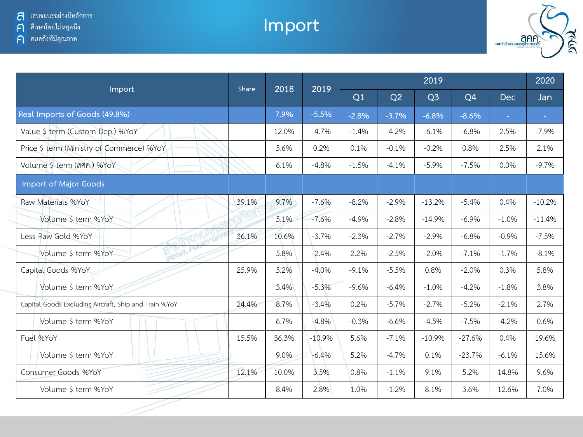## **Import**



|                                                       | Share | 2018  | 2019     |         | 2020    |                |                |            |          |
|-------------------------------------------------------|-------|-------|----------|---------|---------|----------------|----------------|------------|----------|
| Import                                                |       |       |          | Q1      | Q2      | Q <sub>3</sub> | Q <sub>4</sub> | <b>Dec</b> | Jan      |
| Real Imports of Goods (49.8%)                         |       | 7.9%  | $-5.5%$  | $-2.8%$ | $-3.7%$ | $-6.8%$        | $-8.6%$        | ä,         | $\sim$   |
| Value \$ term (Custom Dep.) %YoY                      |       | 12.0% | $-4.7%$  | $-1.4%$ | $-4.2%$ | $-6.1%$        | $-6.8%$        | 2.5%       | $-7.9%$  |
| Price \$ term (Ministry of Commerce) %YoY             |       | 5.6%  | 0.2%     | 0.1%    | $-0.1%$ | $-0.2%$        | 0.8%           | 2.5%       | 2.1%     |
| Volume \$ term (ann.) %YoY                            |       | 6.1%  | $-4.8%$  | $-1.5%$ | $-4.1%$ | $-5.9%$        | $-7.5%$        | 0.0%       | $-9.7%$  |
| Import of Major Goods                                 |       |       |          |         |         |                |                |            |          |
| Raw Materials %YoY                                    | 39.1% | 9.7%  | $-7.6%$  | $-8.2%$ | $-2.9%$ | $-13.2%$       | $-5.4%$        | 0.4%       | $-10.2%$ |
| Volume \$ term %YoY                                   |       | 5.1%  | $-7.6%$  | $-4.9%$ | $-2.8%$ | $-14.9%$       | $-6.9\%$       | $-1.0%$    | $-11.4%$ |
| Less Raw Gold %YoY<br><b>RADA</b>                     | 36.1% | 10.6% | $-3.7%$  | $-2.3%$ | $-2.7%$ | $-2.9%$        | $-6.8%$        | $-0.9%$    | $-7.5%$  |
| Volume \$ term %YoY                                   |       | 5.8%  | $-2.4%$  | 2.2%    | $-2.5%$ | $-2.0%$        | $-7.1%$        | $-1.7%$    | $-8.1%$  |
| Capital Goods %YoY                                    | 25.9% | 5.2%  | $-4.0%$  | $-9.1%$ | $-5.5%$ | 0.8%           | $-2.0%$        | 0.3%       | 5.8%     |
| Volume \$ term %YoY                                   |       | 3.4%  | $-5.3%$  | $-9.6%$ | $-6.4%$ | $-1.0%$        | $-4.2%$        | $-1.8%$    | 3.8%     |
| Capital Goods Excluding Aircraft, Ship and Train %YoY | 24.4% | 8.7%  | $-3.4%$  | 0.2%    | $-5.7%$ | $-2.7%$        | $-5.2%$        | $-2.1%$    | 2.7%     |
| Volume \$ term %YoY                                   |       | 6.7%  | $-4.8%$  | $-0.3%$ | $-6.6%$ | $-4.5%$        | $-7.5%$        | $-4.2%$    | 0.6%     |
| Fuel %YoY                                             | 15.5% | 36.3% | $-10.9%$ | 5.6%    | $-7.1%$ | $-10.9%$       | $-27.6%$       | 0.4%       | 19.6%    |
| Volume \$ term %YoY                                   |       | 9.0%  | $-6.4%$  | 5.2%    | $-4.7%$ | 0.1%           | $-23.7%$       | $-6.1%$    | 15.6%    |
| Consumer Goods %YoY                                   | 12.1% | 10.0% | 3.5%     | 0.8%    | $-1.1%$ | 9.1%           | 5.2%           | 14.8%      | 9.6%     |
| Volume \$ term %YoY                                   |       | 8.4%  | 2.8%     | 1.0%    | $-1.2%$ | 8.1%           | 3.6%           | 12.6%      | 7.0%     |
|                                                       |       |       |          |         |         |                |                |            |          |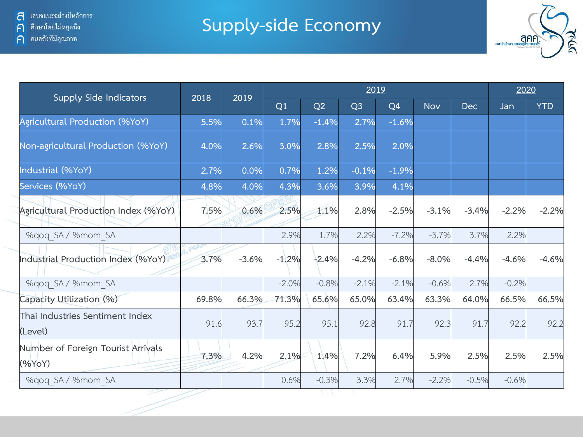**Supply-side Economy**



| <b>Supply Side Indicators</b>                | 2018  | 2019    |         | 2020    |                |                |            |            |         |            |
|----------------------------------------------|-------|---------|---------|---------|----------------|----------------|------------|------------|---------|------------|
|                                              |       |         | Q1      | Q2      | Q <sub>3</sub> | Q <sub>4</sub> | <b>Nov</b> | <b>Dec</b> | Jan     | <b>YTD</b> |
| Agricultural Production (%YoY)               | 5.5%  | 0.1%    | 1.7%    | $-1.4%$ | 2.7%           | $-1.6%$        |            |            |         |            |
| Non-agricultural Production (%YoY)           | 4.0%  | 2.6%    | 3.0%    | 2.8%    | 2.5%           | 2.0%           |            |            |         |            |
| Industrial (%YoY)                            | 2.7%  | 0.0%    | 0.7%    | 1.2%    | $-0.1%$        | $-1.9%$        |            |            |         |            |
| Services (%YoY)                              | 4.8%  | 4.0%    | 4.3%    | 3.6%    | 3.9%           | 4.1%           |            |            |         |            |
| Agricultural Production Index (%YoY)         | 7.5%  | 0.6%    | 2.5%    | 1.1%    | 2.8%           | $-2.5%$        | $-3.1%$    | $-3.4%$    | $-2.2%$ | $-2.2%$    |
| %gog SA / %mom SA                            |       |         | 2.9%    | 1.7%    | 2.2%           | $-7.2%$        | $-3.7%$    | 3.7%       | 2.2%    |            |
| Industrial Production Index (%YoY)           | 3.7%  | $-3.6%$ | $-1.2%$ | $-2.4%$ | $-4.2%$        | $-6.8%$        | $-8.0%$    | $-4.4%$    | $-4.6%$ | $-4.6%$    |
| %gog SA / %mom SA                            |       |         | $-2.0%$ | $-0.8%$ | $-2.1%$        | $-2.1%$        | $-0.6%$    | 2.7%       | $-0.2%$ |            |
| Capacity Utilization (%)                     | 69.8% | 66.3%   | 71.3%   | 65.6%   | 65.0%          | 63.4%          | 63.3%      | 64.0%      | 66.5%   | 66.5%      |
| Thai Industries Sentiment Index<br>(Level)   | 91.6  | 93.7    | 95.2    | 95.1    | 92.8           | 91.7           | 92.3       | 91.7       | 92.2    | 92.2       |
| Number of Foreign Tourist Arrivals<br>(%YoY) | 7.3%  | 4.2%    | 2.1%    | 1.4%    | 7.2%           | 6.4%           | 5.9%       | 2.5%       | 2.5%    | 2.5%       |
| %gog SA / %mom SA                            |       |         | 0.6%    | $-0.3%$ | 3.3%           | 2.7%           | $-2.2%$    | $-0.5%$    | $-0.6%$ |            |